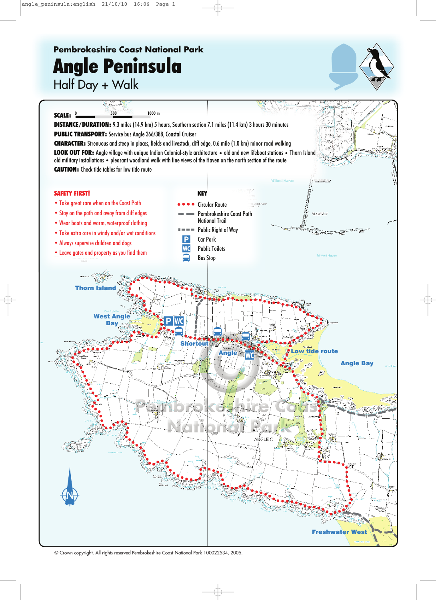## **Pembrokeshire Coast National Park Angle Peninsula**

Half Day + Walk



© Crown copyright. All rights reserved Pembrokeshire Coast National Park 100022534, 2005.